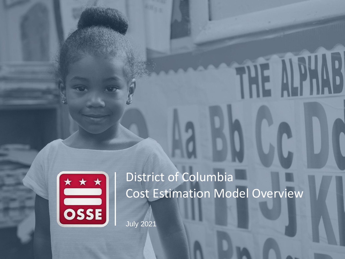

# District of Columbia Cost Estimation Model Overview

July 2021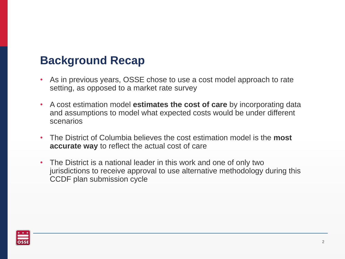# **Background Recap**

- As in previous years, OSSE chose to use a cost model approach to rate setting, as opposed to a market rate survey
- A cost estimation model **estimates the cost of care** by incorporating data and assumptions to model what expected costs would be under different scenarios
- The District of Columbia believes the cost estimation model is the **most accurate way** to reflect the actual cost of care
- The District is a national leader in this work and one of only two jurisdictions to receive approval to use alternative methodology during this CCDF plan submission cycle

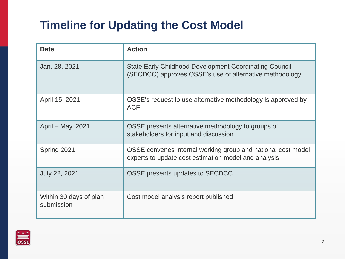# **Timeline for Updating the Cost Model**

| <b>Date</b>                          | <b>Action</b>                                                                                                            |
|--------------------------------------|--------------------------------------------------------------------------------------------------------------------------|
| Jan. 28, 2021                        | <b>State Early Childhood Development Coordinating Council</b><br>(SECDCC) approves OSSE's use of alternative methodology |
| April 15, 2021                       | OSSE's request to use alternative methodology is approved by<br><b>ACF</b>                                               |
| April - May, 2021                    | OSSE presents alternative methodology to groups of<br>stakeholders for input and discussion                              |
| Spring 2021                          | OSSE convenes internal working group and national cost model<br>experts to update cost estimation model and analysis     |
| <b>July 22, 2021</b>                 | OSSE presents updates to SECDCC                                                                                          |
| Within 30 days of plan<br>submission | Cost model analysis report published                                                                                     |

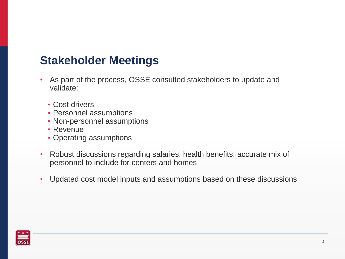#### **Stakeholder Meetings**

- As part of the process, OSSE consulted stakeholders to update and validate:
	- **Cost drivers**
	- **Personnel assumptions**
	- Non-personnel assumptions
	- Revenue
	- **Operating assumptions**
- Robust discussions regarding salaries, health benefits, accurate mix of personnel to include for centers and homes
- Updated cost model inputs and assumptions based on these discussions

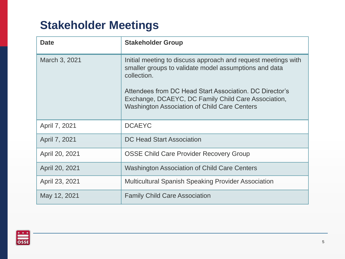# **Stakeholder Meetings**

| <b>Date</b>    | <b>Stakeholder Group</b>                                                                                                                                                                         |
|----------------|--------------------------------------------------------------------------------------------------------------------------------------------------------------------------------------------------|
| March 3, 2021  | Initial meeting to discuss approach and request meetings with<br>smaller groups to validate model assumptions and data<br>collection.<br>Attendees from DC Head Start Association. DC Director's |
|                | Exchange, DCAEYC, DC Family Child Care Association,<br><b>Washington Association of Child Care Centers</b>                                                                                       |
| April 7, 2021  | <b>DCAEYC</b>                                                                                                                                                                                    |
| April 7, 2021  | <b>DC Head Start Association</b>                                                                                                                                                                 |
| April 20, 2021 | <b>OSSE Child Care Provider Recovery Group</b>                                                                                                                                                   |
| April 20, 2021 | <b>Washington Association of Child Care Centers</b>                                                                                                                                              |
| April 23, 2021 | <b>Multicultural Spanish Speaking Provider Association</b>                                                                                                                                       |
| May 12, 2021   | <b>Family Child Care Association</b>                                                                                                                                                             |

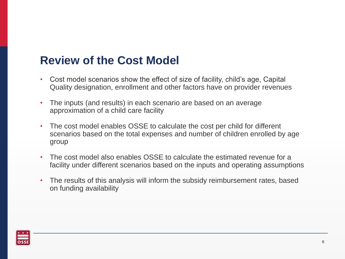#### **Review of the Cost Model**

- Cost model scenarios show the effect of size of facility, child's age, Capital Quality designation, enrollment and other factors have on provider revenues
- The inputs (and results) in each scenario are based on an average approximation of a child care facility
- The cost model enables OSSE to calculate the cost per child for different scenarios based on the total expenses and number of children enrolled by age group
- The cost model also enables OSSE to calculate the estimated revenue for a facility under different scenarios based on the inputs and operating assumptions
- The results of this analysis will inform the subsidy reimbursement rates, based on funding availability

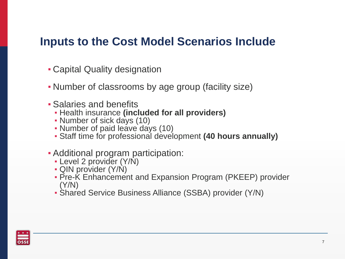#### **Inputs to the Cost Model Scenarios Include**

- Capital Quality designation
- Number of classrooms by age group (facility size)
- **Salaries and benefits** 
	- Health insurance **(included for all providers)**
	- Number of sick days (10)
	- Number of paid leave days (10)
	- Staff time for professional development **(40 hours annually)**
- **Additional program participation:** 
	- Level 2 provider (Y/N)
	- QIN provider (Y/N)
	- **Pre-K Enhancement and Expansion Program (PKEEP) provider** (Y/N)
	- Shared Service Business Alliance (SSBA) provider (Y/N)

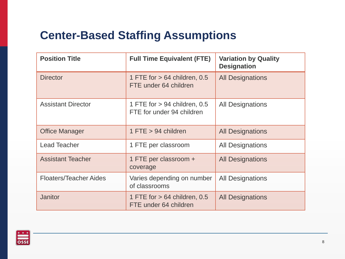# **Center-Based Staffing Assumptions**

| <b>Position Title</b>         | <b>Full Time Equivalent (FTE)</b>                           | <b>Variation by Quality</b><br><b>Designation</b> |
|-------------------------------|-------------------------------------------------------------|---------------------------------------------------|
| <b>Director</b>               | 1 FTE for $> 64$ children, 0.5<br>FTE under 64 children     | <b>All Designations</b>                           |
| <b>Assistant Director</b>     | 1 FTE for $> 94$ children, 0.5<br>FTE for under 94 children | <b>All Designations</b>                           |
| <b>Office Manager</b>         | $1$ FTE $> 94$ children                                     | <b>All Designations</b>                           |
| <b>Lead Teacher</b>           | 1 FTE per classroom                                         | <b>All Designations</b>                           |
| <b>Assistant Teacher</b>      | 1 FTE per classroom +<br>coverage                           | <b>All Designations</b>                           |
| <b>Floaters/Teacher Aides</b> | Varies depending on number<br>of classrooms                 | <b>All Designations</b>                           |
| <b>Janitor</b>                | 1 FTE for $> 64$ children, 0.5<br>FTE under 64 children     | <b>All Designations</b>                           |

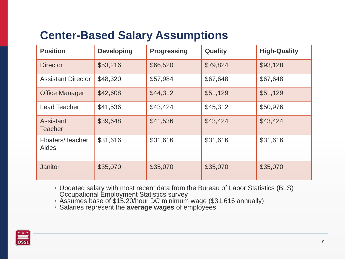# **Center-Based Salary Assumptions**

| <b>Position</b>                    | <b>Developing</b> | <b>Progressing</b> | <b>Quality</b> | <b>High-Quality</b> |
|------------------------------------|-------------------|--------------------|----------------|---------------------|
| <b>Director</b>                    | \$53,216          | \$66,520           | \$79,824       | \$93,128            |
| <b>Assistant Director</b>          | \$48,320          | \$57,984           | \$67,648       | \$67,648            |
| <b>Office Manager</b>              | \$42,608          | \$44,312           | \$51,129       | \$51,129            |
| <b>Lead Teacher</b>                | \$41,536          | \$43,424           | \$45,312       | \$50,976            |
| <b>Assistant</b><br><b>Teacher</b> | \$39,648          | \$41,536           | \$43,424       | \$43,424            |
| Floaters/Teacher<br>Aides          | \$31,616          | \$31,616           | \$31,616       | \$31,616            |
| Janitor                            | \$35,070          | \$35,070           | \$35,070       | \$35,070            |

- Updated salary with most recent data from the Bureau of Labor Statistics (BLS) Occupational Employment Statistics survey
- Assumes base of \$15.20/hour DC minimum wage (\$31,616 annually)
- Salaries represent the **average wages** of employees

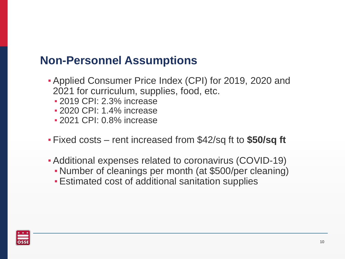### **Non-Personnel Assumptions**

- Applied Consumer Price Index (CPI) for 2019, 2020 and 2021 for curriculum, supplies, food, etc.
	- **2019 CPI: 2.3% increase**
	- **2020 CPI: 1.4% increase**
	- **2021 CPI: 0.8% increase**
- Fixed costs rent increased from \$42/sq ft to **\$50/sq ft**
- Additional expenses related to coronavirus (COVID-19)
	- Number of cleanings per month (at \$500/per cleaning)
	- **Estimated cost of additional sanitation supplies**

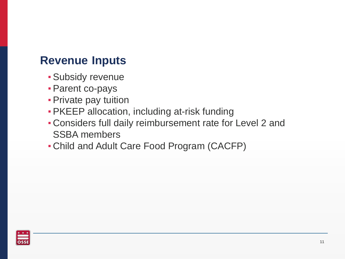#### **Revenue Inputs**

- **· Subsidy revenue**
- **Parent co-pays**
- **Private pay tuition**
- **PKEEP allocation, including at-risk funding**
- Considers full daily reimbursement rate for Level 2 and SSBA members
- Child and Adult Care Food Program (CACFP)

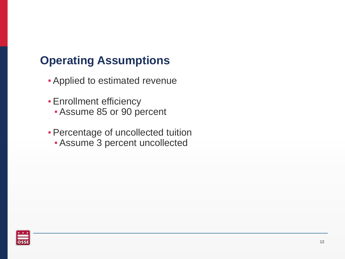# **Operating Assumptions**

- **Applied to estimated revenue**
- **Enrollment efficiency** 
	- **Assume 85 or 90 percent**
- **Percentage of uncollected tuition** 
	- **Assume 3 percent uncollected**

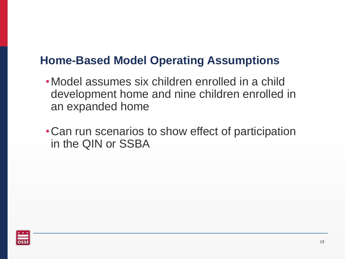#### **Home-Based Model Operating Assumptions**

- •Model assumes six children enrolled in a child development home and nine children enrolled in an expanded home
- •Can run scenarios to show effect of participation in the QIN or SSBA

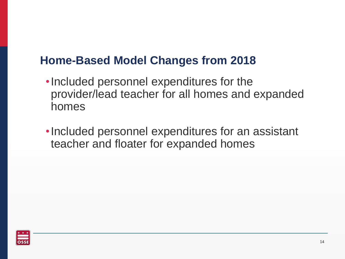#### **Home-Based Model Changes from 2018**

- •Included personnel expenditures for the provider/lead teacher for all homes and expanded homes
- •Included personnel expenditures for an assistant teacher and floater for expanded homes

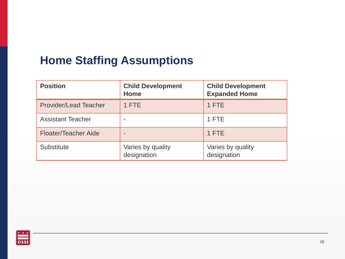# **Home Staffing Assumptions**

| <b>Position</b>              | <b>Child Development</b><br>Home | <b>Child Development</b><br><b>Expanded Home</b> |
|------------------------------|----------------------------------|--------------------------------------------------|
| <b>Provider/Lead Teacher</b> | 1 FTE                            | 1 FTE                                            |
| <b>Assistant Teacher</b>     |                                  | 1 FTE                                            |
| <b>Floater/Teacher Aide</b>  |                                  | 1 FTE                                            |
| <b>Substitute</b>            | Varies by quality<br>designation | Varies by quality<br>designation                 |

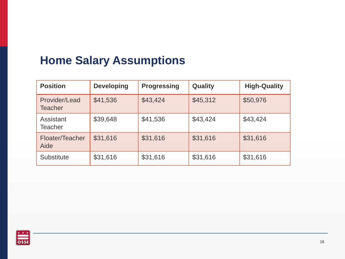# **Home Salary Assumptions**

| <b>Position</b>                 | <b>Developing</b> | <b>Progressing</b> | Quality  | <b>High-Quality</b> |
|---------------------------------|-------------------|--------------------|----------|---------------------|
| Provider/Lead<br><b>Teacher</b> | \$41,536          | \$43,424           | \$45,312 | \$50,976            |
| Assistant<br>Teacher            | \$39,648          | \$41,536           | \$43,424 | \$43,424            |
| Floater/Teacher<br>Aide         | \$31,616          | \$31,616           | \$31,616 | \$31,616            |
| <b>Substitute</b>               | \$31,616          | \$31,616           | \$31,616 | \$31,616            |

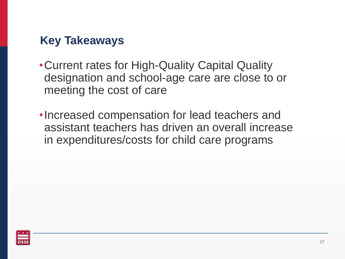# **Key Takeaways**

- •Current rates for High-Quality Capital Quality designation and school-age care are close to or meeting the cost of care
- •Increased compensation for lead teachers and assistant teachers has driven an overall increase in expenditures/costs for child care programs

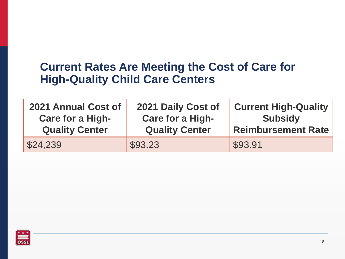#### **Current Rates Are Meeting the Cost of Care for High-Quality Child Care Centers**

| 2021 Annual Cost of     | 2021 Daily Cost of      | <b>Current High-Quality</b> |
|-------------------------|-------------------------|-----------------------------|
| <b>Care for a High-</b> | <b>Care for a High-</b> | <b>Subsidy</b>              |
| <b>Quality Center</b>   | <b>Quality Center</b>   | <b>Reimbursement Rate</b>   |
| \$24,239                | \$93.23                 | \$93.91                     |

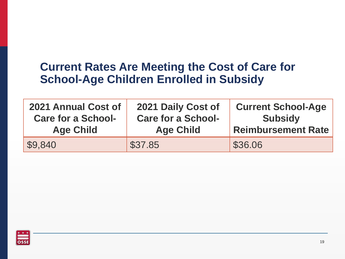#### **Current Rates Are Meeting the Cost of Care for School-Age Children Enrolled in Subsidy**

| 2021 Annual Cost of       | 2021 Daily Cost of        | <b>Current School-Age</b> |
|---------------------------|---------------------------|---------------------------|
| <b>Care for a School-</b> | <b>Care for a School-</b> | <b>Subsidy</b>            |
| <b>Age Child</b>          | <b>Age Child</b>          | <b>Reimbursement Rate</b> |
| \$9,840                   | \$37.85                   | \$36.06                   |

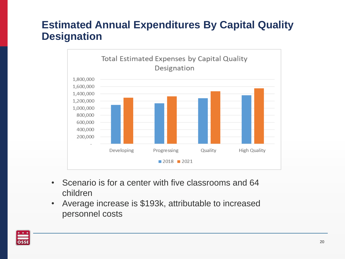#### **Estimated Annual Expenditures By Capital Quality Designation**



- Scenario is for a center with five classrooms and 64 children
- Average increase is \$193k, attributable to increased personnel costs

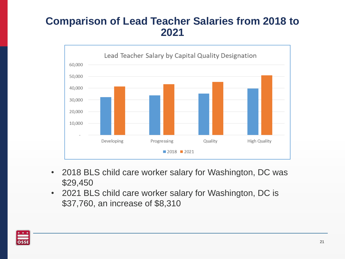#### **Comparison of Lead Teacher Salaries from 2018 to 2021**



- 2018 BLS child care worker salary for Washington, DC was \$29,450
- 2021 BLS child care worker salary for Washington, DC is \$37,760, an increase of \$8,310

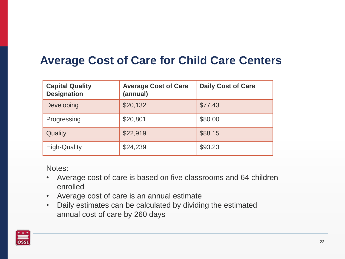## **Average Cost of Care for Child Care Centers**

| <b>Capital Quality</b><br><b>Designation</b> | <b>Average Cost of Care</b><br>(annual) | <b>Daily Cost of Care</b> |
|----------------------------------------------|-----------------------------------------|---------------------------|
| Developing                                   | \$20,132                                | \$77.43                   |
| Progressing                                  | \$20,801                                | \$80.00                   |
| Quality                                      | \$22,919                                | \$88.15                   |
| <b>High-Quality</b>                          | \$24,239                                | \$93.23                   |

Notes:

- Average cost of care is based on five classrooms and 64 children enrolled
- Average cost of care is an annual estimate
- Daily estimates can be calculated by dividing the estimated annual cost of care by 260 days